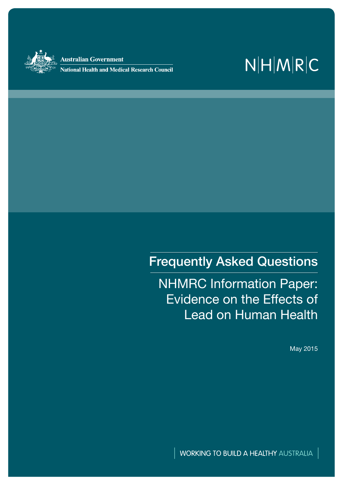

**Australian Government** 

**National Health and Medical Research Council** 

# $N|H|M|R|C$

# Frequently Asked Questions

NHMRC Information Paper: Evidence on the Effects of Lead on Human Health

May 2015

**WORKING TO BUILD A HEALTHY AUSTRALIA**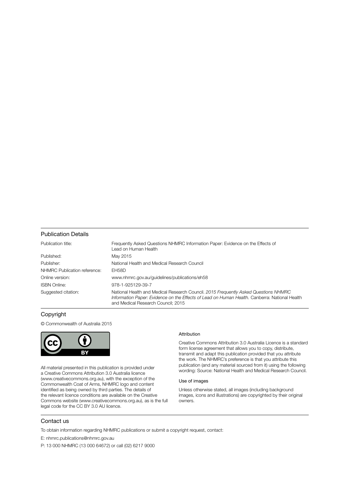#### Publication Details

| Publication title:           | Frequently Asked Questions NHMRC Information Paper: Evidence on the Effects of<br>Lead on Human Health                                                                                                                     |
|------------------------------|----------------------------------------------------------------------------------------------------------------------------------------------------------------------------------------------------------------------------|
| Published:                   | May 2015                                                                                                                                                                                                                   |
| Publisher:                   | National Health and Medical Research Council                                                                                                                                                                               |
| NHMRC Publication reference: | EH58D                                                                                                                                                                                                                      |
| Online version:              | www.nhmrc.gov.au/guidelines/publications/eh58                                                                                                                                                                              |
| <b>ISBN Online:</b>          | 978-1-925129-39-7                                                                                                                                                                                                          |
| Suggested citation:          | National Health and Medical Research Council. 2015 Frequently Asked Questions NHMRC<br>Information Paper: Evidence on the Effects of Lead on Human Health. Canberra: National Health<br>and Medical Research Council; 2015 |

#### Copyright

© Commonwealth of Australia 2015



All material presented in this publication is provided under a Creative Commons Attribution 3.0 Australia licence (www.creativecommons.org.au), with the exception of the Commonwealth Coat of Arms, NHMRC logo and content identified as being owned by third parties. The details of the relevant licence conditions are available on the Creative Commons website (www.creativecommons.org.au), as is the full legal code for the CC BY 3.0 AU licence.

#### Attribution

Creative Commons Attribution 3.0 Australia Licence is a standard form license agreement that allows you to copy, distribute, transmit and adapt this publication provided that you attribute the work. The NHMRC's preference is that you attribute this publication (and any material sourced from it) using the following wording: Source: National Health and Medical Research Council.

#### Use of images

Unless otherwise stated, all images (including background images, icons and illustrations) are copyrighted by their original owners.

#### Contact us

To obtain information regarding NHMRC publications or submit a copyright request, contact:

E: nhmrc.publications@nhmrc.gov.au

P: 13 000 NHMRC (13 000 64672) or call (02) 6217 9000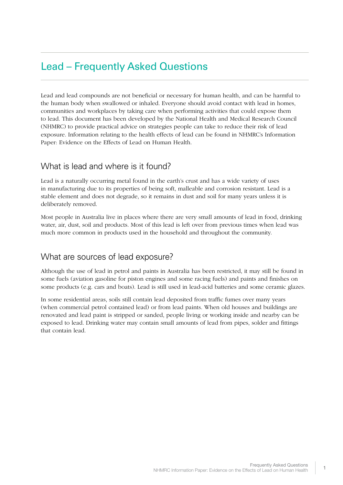# Lead – Frequently Asked Questions

Lead and lead compounds are not beneficial or necessary for human health, and can be harmful to the human body when swallowed or inhaled. Everyone should avoid contact with lead in homes, communities and workplaces by taking care when performing activities that could expose them to lead. This document has been developed by the National Health and Medical Research Council (NHMRC) to provide practical advice on strategies people can take to reduce their risk of lead exposure. Information relating to the health effects of lead can be found in NHMRC's Information Paper: Evidence on the Effects of Lead on Human Health.

### What is lead and where is it found?

Lead is a naturally occurring metal found in the earth's crust and has a wide variety of uses in manufacturing due to its properties of being soft, malleable and corrosion resistant. Lead is a stable element and does not degrade, so it remains in dust and soil for many years unless it is deliberately removed.

Most people in Australia live in places where there are very small amounts of lead in food, drinking water, air, dust, soil and products. Most of this lead is left over from previous times when lead was much more common in products used in the household and throughout the community.

### What are sources of lead exposure?

Although the use of lead in petrol and paints in Australia has been restricted, it may still be found in some fuels (aviation gasoline for piston engines and some racing fuels) and paints and finishes on some products (e.g. cars and boats). Lead is still used in lead-acid batteries and some ceramic glazes.

In some residential areas, soils still contain lead deposited from traffic fumes over many years (when commercial petrol contained lead) or from lead paints. When old houses and buildings are renovated and lead paint is stripped or sanded, people living or working inside and nearby can be exposed to lead. Drinking water may contain small amounts of lead from pipes, solder and fittings that contain lead.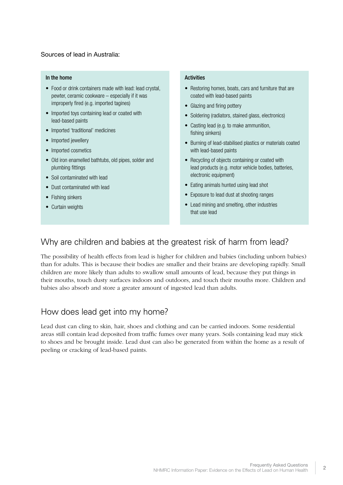### Sources of lead in Australia:

#### In the home

- Food or drink containers made with lead: lead crystal, pewter, ceramic cookware – especially if it was improperly fired (e.g. imported tagines)
- Imported toys containing lead or coated with lead-based paints
- Imported 'traditional' medicines
- Imported jewellery
- Imported cosmetics
- Old iron enamelled bathtubs, old pipes, solder and plumbing fittings
- Soil contaminated with lead
- Dust contaminated with lead
- Fishing sinkers
- Curtain weights

#### **Activities**

- Restoring homes, boats, cars and furniture that are coated with lead-based paints
- Glazing and firing pottery
- Soldering (radiators, stained glass, electronics)
- Casting lead (e.g. to make ammunition, fishing sinkers)
- • Burning of lead-stabilised plastics or materials coated with lead-based paints
- Recycling of objects containing or coated with lead products (e.g. motor vehicle bodies, batteries, electronic equipment)
- Eating animals hunted using lead shot
- • Exposure to lead dust at shooting ranges
- Lead mining and smelting, other industries that use lead

### Why are children and babies at the greatest risk of harm from lead?

The possibility of health effects from lead is higher for children and babies (including unborn babies) than for adults. This is because their bodies are smaller and their brains are developing rapidly. Small children are more likely than adults to swallow small amounts of lead, because they put things in their mouths, touch dusty surfaces indoors and outdoors, and touch their mouths more. Children and babies also absorb and store a greater amount of ingested lead than adults.

### How does lead get into my home?

Lead dust can cling to skin, hair, shoes and clothing and can be carried indoors. Some residential areas still contain lead deposited from traffic fumes over many years. Soils containing lead may stick to shoes and be brought inside. Lead dust can also be generated from within the home as a result of peeling or cracking of lead-based paints.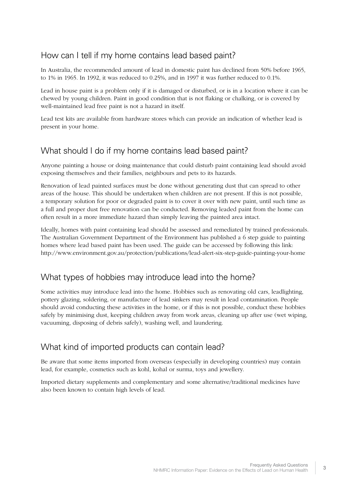### How can I tell if my home contains lead based paint?

In Australia, the recommended amount of lead in domestic paint has declined from 50% before 1965, to 1% in 1965. In 1992, it was reduced to 0.25%, and in 1997 it was further reduced to 0.1%.

Lead in house paint is a problem only if it is damaged or disturbed, or is in a location where it can be chewed by young children. Paint in good condition that is not flaking or chalking, or is covered by well-maintained lead free paint is not a hazard in itself.

Lead test kits are available from hardware stores which can provide an indication of whether lead is present in your home.

### What should I do if my home contains lead based paint?

Anyone painting a house or doing maintenance that could disturb paint containing lead should avoid exposing themselves and their families, neighbours and pets to its hazards.

Renovation of lead painted surfaces must be done without generating dust that can spread to other areas of the house. This should be undertaken when children are not present. If this is not possible, a temporary solution for poor or degraded paint is to cover it over with new paint, until such time as a full and proper dust free renovation can be conducted. Removing leaded paint from the home can often result in a more immediate hazard than simply leaving the painted area intact.

Ideally, homes with paint containing lead should be assessed and remediated by trained professionals. The Australian Government Department of the Environment has published a 6 step guide to painting homes where lead based paint has been used. The guide can be accessed by following this link: <http://www.environment.gov.au/protection/publications/lead-alert-six-step-guide-painting-your-home>

### What types of hobbies may introduce lead into the home?

Some activities may introduce lead into the home. Hobbies such as renovating old cars, leadlighting, pottery glazing, soldering, or manufacture of lead sinkers may result in lead contamination. People should avoid conducting these activities in the home, or if this is not possible, conduct these hobbies safely by minimising dust, keeping children away from work areas, cleaning up after use (wet wiping, vacuuming, disposing of debris safely), washing well, and laundering.

### What kind of imported products can contain lead?

Be aware that some items imported from overseas (especially in developing countries) may contain lead, for example, cosmetics such as kohl, kohal or surma, toys and jewellery.

Imported dietary supplements and complementary and some alternative/traditional medicines have also been known to contain high levels of lead.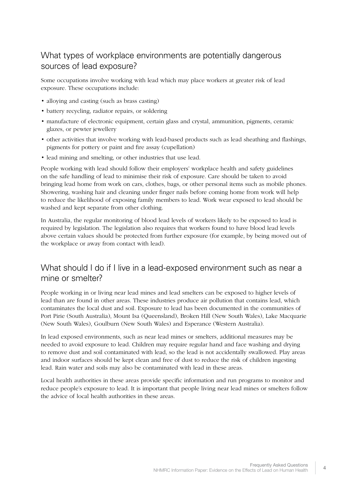### What types of workplace environments are potentially dangerous sources of lead exposure?

Some occupations involve working with lead which may place workers at greater risk of lead exposure. These occupations include:

- alloying and casting (such as brass casting)
- battery recycling, radiator repairs, or soldering
- manufacture of electronic equipment, certain glass and crystal, ammunition, pigments, ceramic glazes, or pewter jewellery
- • other activities that involve working with lead-based products such as lead sheathing and flashings, pigments for pottery or paint and fire assay (cupellation)
- lead mining and smelting, or other industries that use lead.

People working with lead should follow their employers' workplace health and safety guidelines on the safe handling of lead to minimise their risk of exposure. Care should be taken to avoid bringing lead home from work on cars, clothes, bags, or other personal items such as mobile phones. Showering, washing hair and cleaning under finger nails before coming home from work will help to reduce the likelihood of exposing family members to lead. Work wear exposed to lead should be washed and kept separate from other clothing.

In Australia, the regular monitoring of blood lead levels of workers likely to be exposed to lead is required by legislation. The legislation also requires that workers found to have blood lead levels above certain values should be protected from further exposure (for example, by being moved out of the workplace or away from contact with lead).

### What should I do if I live in a lead-exposed environment such as near a mine or smelter?

People working in or living near lead mines and lead smelters can be exposed to higher levels of lead than are found in other areas. These industries produce air pollution that contains lead, which contaminates the local dust and soil. Exposure to lead has been documented in the communities of Port Pirie (South Australia), Mount Isa (Queensland), Broken Hill (New South Wales), Lake Macquarie (New South Wales), Goulburn (New South Wales) and Esperance (Western Australia).

In lead exposed environments, such as near lead mines or smelters, additional measures may be needed to avoid exposure to lead. Children may require regular hand and face washing and drying to remove dust and soil contaminated with lead, so the lead is not accidentally swallowed. Play areas and indoor surfaces should be kept clean and free of dust to reduce the risk of children ingesting lead. Rain water and soils may also be contaminated with lead in these areas.

Local health authorities in these areas provide specific information and run programs to monitor and reduce people's exposure to lead. It is important that people living near lead mines or smelters follow the advice of local health authorities in these areas.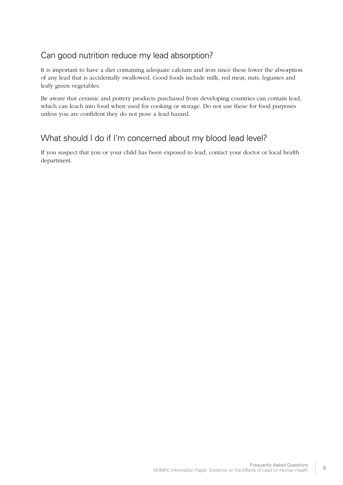### Can good nutrition reduce my lead absorption?

It is important to have a diet containing adequate calcium and iron since these lower the absorption of any lead that is accidentally swallowed. Good foods include milk, red meat, nuts, legumes and leafy green vegetables.

Be aware that ceramic and pottery products purchased from developing countries can contain lead, which can leach into food when used for cooking or storage. Do not use these for food purposes unless you are confident they do not pose a lead hazard.

### What should I do if I'm concerned about my blood lead level?

If you suspect that you or your child has been exposed to lead, contact your doctor or local health department.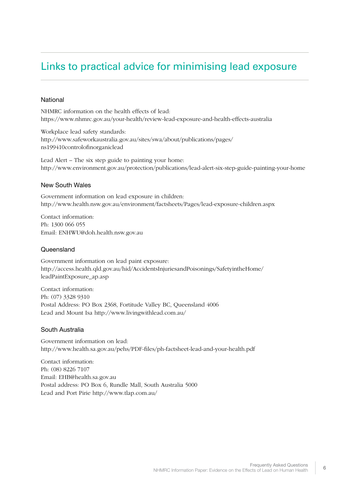# Links to practical advice for minimising lead exposure

#### National

NHMRC information on the health effects of lead: <https://www.nhmrc.gov.au/your-health/review-lead-exposure-and-health-effects-australia>

Workplace lead safety standards: [http://www.safeworkaustralia.gov.au/sites/swa/about/publications/pages/](http://www.safeworkaustralia.gov.au/sites/swa/about/publications/pages/ns199410controlofinorganiclead) [ns199410controlofinorganiclead](http://www.safeworkaustralia.gov.au/sites/swa/about/publications/pages/ns199410controlofinorganiclead)

Lead Alert – The six step guide to painting your home: <http://www.environment.gov.au/protection/publications/lead-alert-six-step-guide-painting-your-home>

#### New South Wales

Government information on lead exposure in children: <http://www.health.nsw.gov.au/environment/factsheets/Pages/lead-exposure-children.aspx>

Contact information: Ph: 1300 066 055 Email: [ENHWU@doh.health.nsw.gov.au](mailto:ENHWU@doh.health.nsw.gov.au)

### Queensland

Government information on lead paint exposure: [http://access.health.qld.gov.au/hid/AccidentsInjuriesandPoisonings/SafetyintheHome/](http://access.health.qld.gov.au/hid/AccidentsInjuriesandPoisonings/SafetyintheHome/leadPaintExposure_ap.asp) [leadPaintExposure\\_ap.asp](http://access.health.qld.gov.au/hid/AccidentsInjuriesandPoisonings/SafetyintheHome/leadPaintExposure_ap.asp)

Contact information: Ph: (07) 3328 9310 Postal Address: PO Box 2368, Fortitude Valley BC, Queensland 4006 Lead and Mount Isa <http://www.livingwithlead.com.au/>

#### South Australia

Government information on lead: <http://www.health.sa.gov.au/pehs/PDF-files/ph-factsheet-lead-and-your-health.pdf>

Contact information: Ph: (08) 8226 7107 Email: [EHB@health.sa.gov.au](mailto:public.health@health.sa.gov.au) Postal address: PO Box 6, Rundle Mall, South Australia 5000 Lead and Port Pirie <http://www.tlap.com.au/>